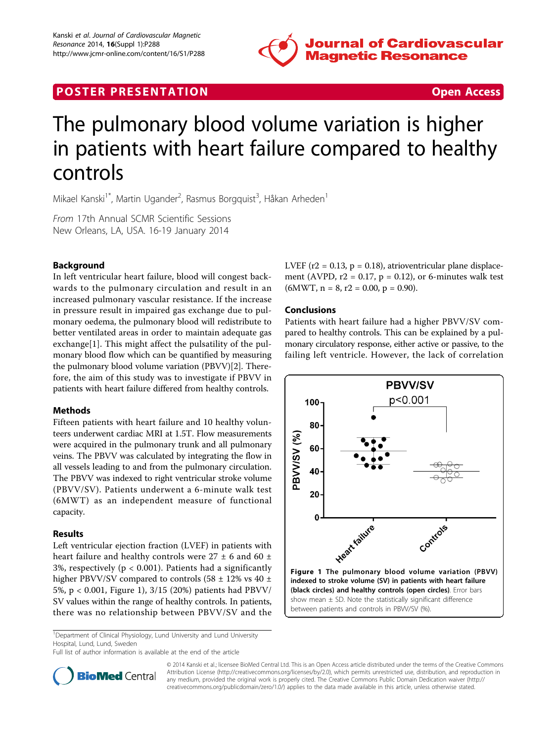

# **POSTER PRESENTATION CONSUMING THE SECOND CONSUMING THE SECOND CONSUMING THE SECOND CONSUMING THE SECOND CONSUMING THE SECOND CONSUMING THE SECOND CONSUMING THE SECOND CONSUMING THE SECOND CONSUMING THE SECOND CONSUMING**



# The pulmonary blood volume variation is higher in patients with heart failure compared to healthy controls

Mikael Kanski<sup>1\*</sup>, Martin Ugander<sup>2</sup>, Rasmus Borgquist<sup>3</sup>, Håkan Arheden<sup>1</sup>

From 17th Annual SCMR Scientific Sessions New Orleans, LA, USA. 16-19 January 2014

# Background

In left ventricular heart failure, blood will congest backwards to the pulmonary circulation and result in an increased pulmonary vascular resistance. If the increase in pressure result in impaired gas exchange due to pulmonary oedema, the pulmonary blood will redistribute to better ventilated areas in order to maintain adequate gas exchange[[1\]](#page-1-0). This might affect the pulsatility of the pulmonary blood flow which can be quantified by measuring the pulmonary blood volume variation (PBVV)[[2\]](#page-1-0). Therefore, the aim of this study was to investigate if PBVV in patients with heart failure differed from healthy controls.

# Methods

Fifteen patients with heart failure and 10 healthy volunteers underwent cardiac MRI at 1.5T. Flow measurements were acquired in the pulmonary trunk and all pulmonary veins. The PBVV was calculated by integrating the flow in all vessels leading to and from the pulmonary circulation. The PBVV was indexed to right ventricular stroke volume (PBVV/SV). Patients underwent a 6-minute walk test (6MWT) as an independent measure of functional capacity.

# Results

Left ventricular ejection fraction (LVEF) in patients with heart failure and healthy controls were  $27 \pm 6$  and  $60 \pm 1$ 3%, respectively ( $p < 0.001$ ). Patients had a significantly higher PBVV/SV compared to controls (58  $\pm$  12% vs 40  $\pm$ 5%, p < 0.001, Figure 1), 3/15 (20%) patients had PBVV/ SV values within the range of healthy controls. In patients, there was no relationship between PBVV/SV and the

<sup>1</sup>Department of Clinical Physiology, Lund University and Lund University Hospital, Lund, Lund, Sweden

Full list of author information is available at the end of the article

LVEF ( $r2 = 0.13$ ,  $p = 0.18$ ), atrioventricular plane displacement (AVPD,  $r2 = 0.17$ ,  $p = 0.12$ ), or 6-minutes walk test  $(6MWT, n = 8, r2 = 0.00, p = 0.90).$ 

#### Conclusions

Patients with heart failure had a higher PBVV/SV compared to healthy controls. This can be explained by a pulmonary circulatory response, either active or passive, to the failing left ventricle. However, the lack of correlation





© 2014 Kanski et al.; licensee BioMed Central Ltd. This is an Open Access article distributed under the terms of the Creative Commons Attribution License [\(http://creativecommons.org/licenses/by/2.0](http://creativecommons.org/licenses/by/2.0)), which permits unrestricted use, distribution, and reproduction in any medium, provided the original work is properly cited. The Creative Commons Public Domain Dedication waiver [\(http://](http://creativecommons.org/publicdomain/zero/1.0/) [creativecommons.org/publicdomain/zero/1.0/](http://creativecommons.org/publicdomain/zero/1.0/)) applies to the data made available in this article, unless otherwise stated.